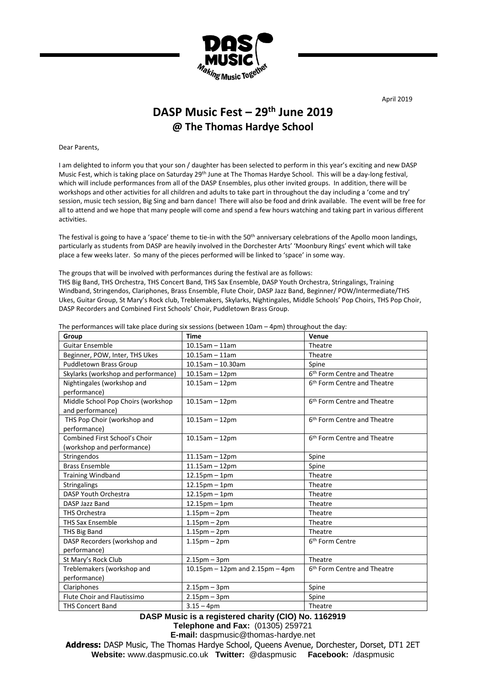

April 2019

## **DASP Music Fest – 29th June 2019 @ The Thomas Hardye School**

Dear Parents,

I am delighted to inform you that your son / daughter has been selected to perform in this year's exciting and new DASP Music Fest, which is taking place on Saturday 29<sup>th</sup> June at The Thomas Hardye School. This will be a day-long festival, which will include performances from all of the DASP Ensembles, plus other invited groups. In addition, there will be workshops and other activities for all children and adults to take part in throughout the day including a 'come and try' session, music tech session, Big Sing and barn dance! There will also be food and drink available. The event will be free for all to attend and we hope that many people will come and spend a few hours watching and taking part in various different activities.

The festival is going to have a 'space' theme to tie-in with the 50<sup>th</sup> anniversary celebrations of the Apollo moon landings, particularly as students from DASP are heavily involved in the Dorchester Arts' 'Moonbury Rings' event which will take place a few weeks later. So many of the pieces performed will be linked to 'space' in some way.

The groups that will be involved with performances during the festival are as follows: THS Big Band, THS Orchestra, THS Concert Band, THS Sax Ensemble, DASP Youth Orchestra, Stringalings, Training Windband, Stringendos, Clariphones, Brass Ensemble, Flute Choir, DASP Jazz Band, Beginner/ POW/Intermediate/THS Ukes, Guitar Group, St Mary's Rock club, Treblemakers, Skylarks, Nightingales, Middle Schools' Pop Choirs, THS Pop Choir, DASP Recorders and Combined First Schools' Choir, Puddletown Brass Group.

| Group                                                       | <b>Time</b>                               | Venue                                   |
|-------------------------------------------------------------|-------------------------------------------|-----------------------------------------|
| <b>Guitar Ensemble</b>                                      | $10.15$ am - 11am                         | Theatre                                 |
| Beginner, POW, Inter, THS Ukes                              | $10.15$ am - 11am                         | Theatre                                 |
| <b>Puddletown Brass Group</b>                               | $10.15$ am - 10.30am                      | Spine                                   |
| Skylarks (workshop and performance)                         | $10.15$ am $-12$ pm                       | 6 <sup>th</sup> Form Centre and Theatre |
| Nightingales (workshop and<br>performance)                  | $10.15$ am $-12$ pm                       | 6 <sup>th</sup> Form Centre and Theatre |
| Middle School Pop Choirs (workshop<br>and performance)      | $10.15$ am $-12$ pm                       | 6 <sup>th</sup> Form Centre and Theatre |
| THS Pop Choir (workshop and<br>performance)                 | $10.15$ am $-12$ pm                       | 6 <sup>th</sup> Form Centre and Theatre |
| Combined First School's Choir<br>(workshop and performance) | $10.15$ am $-12$ pm                       | 6 <sup>th</sup> Form Centre and Theatre |
| Stringendos                                                 | $11.15$ am $-12$ pm                       | Spine                                   |
| <b>Brass Ensemble</b>                                       | $11.15$ am $-12$ pm                       | Spine                                   |
| <b>Training Windband</b>                                    | $12.15$ pm - 1pm                          | Theatre                                 |
| Stringalings                                                | $12.15$ pm - 1pm                          | Theatre                                 |
| DASP Youth Orchestra                                        | $12.15$ pm - 1pm                          | Theatre                                 |
| DASP Jazz Band                                              | $12.15$ pm - 1pm                          | Theatre                                 |
| <b>THS Orchestra</b>                                        | $1.15$ pm – $2$ pm                        | Theatre                                 |
| <b>THS Sax Ensemble</b>                                     | $1.15$ pm – $2$ pm                        | Theatre                                 |
| <b>THS Big Band</b>                                         | $1.15$ pm – $2$ pm                        | Theatre                                 |
| DASP Recorders (workshop and<br>performance)                | $1.15$ pm – $2$ pm                        | 6 <sup>th</sup> Form Centre             |
| St Mary's Rock Club                                         | $2.15$ pm – $3$ pm                        | Theatre                                 |
| Treblemakers (workshop and<br>performance)                  | $10.15$ pm $-12$ pm and $2.15$ pm $-4$ pm | 6 <sup>th</sup> Form Centre and Theatre |
| Clariphones                                                 | $2.15$ pm – $3$ pm                        | Spine                                   |
| <b>Flute Choir and Flautissimo</b>                          | $2.15$ pm – $3$ pm                        | Spine                                   |
| <b>THS Concert Band</b>                                     | $3.15 - 4pm$                              | Theatre                                 |

The performances will take place during six sessions (between 10am – 4pm) throughout the day:

**DASP Music is a registered charity (CIO) No. 1162919 Telephone and Fax:** (01305) 259721 **E-mail:** daspmusic@thomas-hardye.net

**Address:** DASP Music, The Thomas Hardye School, Queens Avenue, Dorchester, Dorset, DT1 2ET **Website:** [www.daspmusic.co.uk](http://www.daspmusic.co.uk/) **Twitter:** @daspmusic **Facebook:** /daspmusic